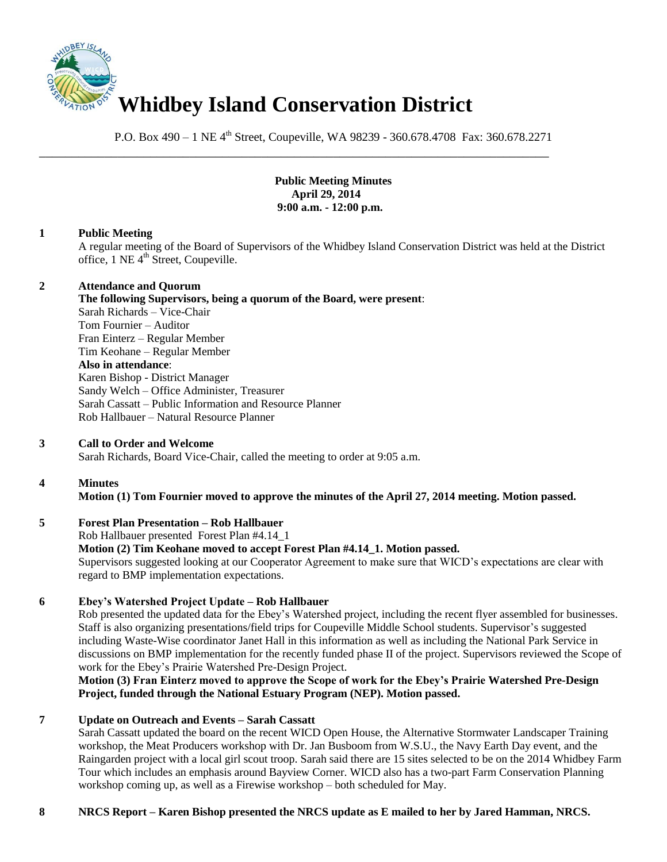

P.O. Box 490 – 1 NE 4<sup>th</sup> Street, Coupeville, WA 98239 - 360.678.4708 Fax: 360.678.2271

\_\_\_\_\_\_\_\_\_\_\_\_\_\_\_\_\_\_\_\_\_\_\_\_\_\_\_\_\_\_\_\_\_\_\_\_\_\_\_\_\_\_\_\_\_\_\_\_\_\_\_\_\_\_\_\_\_\_\_\_\_\_\_\_\_\_\_\_\_\_\_\_\_\_\_\_\_\_

**Public Meeting Minutes April 29, 2014 9:00 a.m. - 12:00 p.m.**

#### **1 Public Meeting**

A regular meeting of the Board of Supervisors of the Whidbey Island Conservation District was held at the District office, 1 NE 4<sup>th</sup> Street, Coupeville.

#### **2 Attendance and Quorum**

**The following Supervisors, being a quorum of the Board, were present**: Sarah Richards – Vice-Chair Tom Fournier – Auditor Fran Einterz – Regular Member Tim Keohane – Regular Member **Also in attendance**: Karen Bishop - District Manager Sandy Welch – Office Administer, Treasurer Sarah Cassatt – Public Information and Resource Planner Rob Hallbauer – Natural Resource Planner

#### **3 Call to Order and Welcome**

Sarah Richards, Board Vice-Chair, called the meeting to order at 9:05 a.m.

## **4 Minutes**

**Motion (1) Tom Fournier moved to approve the minutes of the April 27, 2014 meeting. Motion passed.** 

## **5 Forest Plan Presentation – Rob Hallbauer**

Rob Hallbauer presented Forest Plan #4.14\_1 **Motion (2) Tim Keohane moved to accept Forest Plan #4.14\_1. Motion passed.**  Supervisors suggested looking at our Cooperator Agreement to make sure that WICD's expectations are clear with regard to BMP implementation expectations.

## **6 Ebey's Watershed Project Update – Rob Hallbauer**

Rob presented the updated data for the Ebey's Watershed project, including the recent flyer assembled for businesses. Staff is also organizing presentations/field trips for Coupeville Middle School students. Supervisor's suggested including Waste-Wise coordinator Janet Hall in this information as well as including the National Park Service in discussions on BMP implementation for the recently funded phase II of the project. Supervisors reviewed the Scope of work for the Ebey's Prairie Watershed Pre-Design Project.

**Motion (3) Fran Einterz moved to approve the Scope of work for the Ebey's Prairie Watershed Pre-Design Project, funded through the National Estuary Program (NEP). Motion passed.** 

## **7 Update on Outreach and Events – Sarah Cassatt**

Sarah Cassatt updated the board on the recent WICD Open House, the Alternative Stormwater Landscaper Training workshop, the Meat Producers workshop with Dr. Jan Busboom from W.S.U., the Navy Earth Day event, and the Raingarden project with a local girl scout troop. Sarah said there are 15 sites selected to be on the 2014 Whidbey Farm Tour which includes an emphasis around Bayview Corner. WICD also has a two-part Farm Conservation Planning workshop coming up, as well as a Firewise workshop – both scheduled for May.

## **8 NRCS Report – Karen Bishop presented the NRCS update as E mailed to her by Jared Hamman, NRCS.**